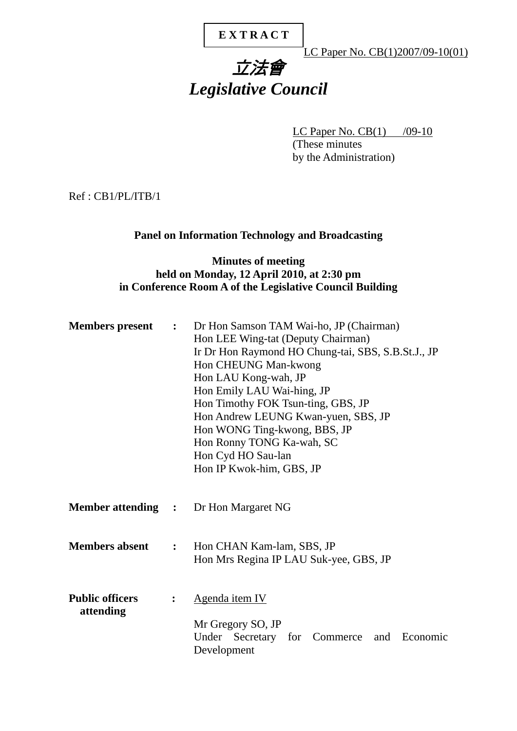# **E X T R A C T**

LC Paper No. CB(1)2007/09-10(01)

# 立法會 *Legislative Council*

LC Paper No.  $CB(1)$  /09-10 (These minutes by the Administration)

Ref : CB1/PL/ITB/1

# **Panel on Information Technology and Broadcasting**

## **Minutes of meeting held on Monday, 12 April 2010, at 2:30 pm in Conference Room A of the Legislative Council Building**

| <b>Members</b> present              | $\mathbf{L}$   | Dr Hon Samson TAM Wai-ho, JP (Chairman)<br>Hon LEE Wing-tat (Deputy Chairman)<br>Ir Dr Hon Raymond HO Chung-tai, SBS, S.B.St.J., JP<br>Hon CHEUNG Man-kwong<br>Hon LAU Kong-wah, JP<br>Hon Emily LAU Wai-hing, JP<br>Hon Timothy FOK Tsun-ting, GBS, JP<br>Hon Andrew LEUNG Kwan-yuen, SBS, JP<br>Hon WONG Ting-kwong, BBS, JP<br>Hon Ronny TONG Ka-wah, SC<br>Hon Cyd HO Sau-lan<br>Hon IP Kwok-him, GBS, JP |
|-------------------------------------|----------------|---------------------------------------------------------------------------------------------------------------------------------------------------------------------------------------------------------------------------------------------------------------------------------------------------------------------------------------------------------------------------------------------------------------|
|                                     |                | <b>Member attending :</b> Dr Hon Margaret NG                                                                                                                                                                                                                                                                                                                                                                  |
| <b>Members absent</b>               | $\ddot{\cdot}$ | Hon CHAN Kam-lam, SBS, JP<br>Hon Mrs Regina IP LAU Suk-yee, GBS, JP                                                                                                                                                                                                                                                                                                                                           |
| <b>Public officers</b><br>attending | $\ddot{\cdot}$ | Agenda item IV<br>Mr Gregory SO, JP<br>Under Secretary for Commerce<br>and Economic<br>Development                                                                                                                                                                                                                                                                                                            |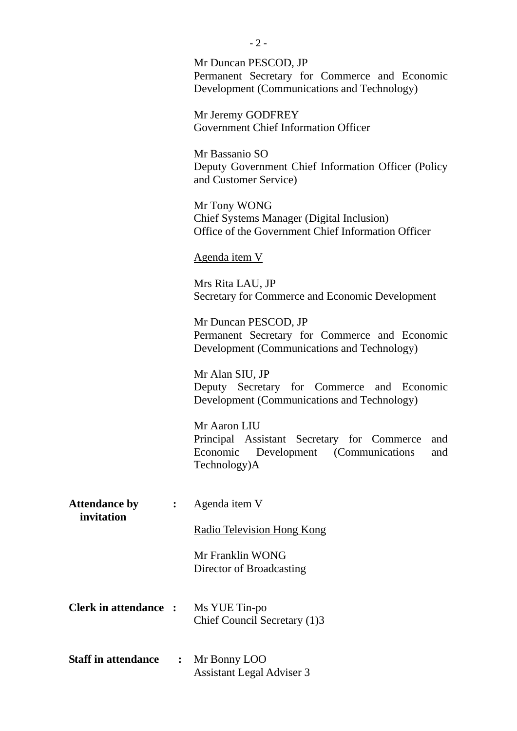|                                    |                | Mr Duncan PESCOD, JP<br>Permanent Secretary for Commerce and Economic<br>Development (Communications and Technology)                 |
|------------------------------------|----------------|--------------------------------------------------------------------------------------------------------------------------------------|
|                                    |                | Mr Jeremy GODFREY<br>Government Chief Information Officer                                                                            |
|                                    |                | Mr Bassanio SO<br>Deputy Government Chief Information Officer (Policy<br>and Customer Service)                                       |
|                                    |                | Mr Tony WONG<br><b>Chief Systems Manager (Digital Inclusion)</b><br>Office of the Government Chief Information Officer               |
|                                    |                | Agenda item V                                                                                                                        |
|                                    |                | Mrs Rita LAU, JP<br>Secretary for Commerce and Economic Development                                                                  |
|                                    |                | Mr Duncan PESCOD, JP<br>Permanent Secretary for Commerce and Economic<br>Development (Communications and Technology)                 |
|                                    |                | Mr Alan SIU, JP<br>Deputy Secretary for Commerce and Economic<br>Development (Communications and Technology)                         |
|                                    |                | Mr Aaron LIU<br>Principal Assistant Secretary for Commerce<br>and<br>Economic<br>Development (Communications)<br>and<br>Technology)A |
| <b>Attendance by</b><br>invitation |                | Agenda item V                                                                                                                        |
|                                    |                | <b>Radio Television Hong Kong</b>                                                                                                    |
|                                    |                | Mr Franklin WONG<br>Director of Broadcasting                                                                                         |
| <b>Clerk in attendance :</b>       |                | Ms YUE Tin-po<br>Chief Council Secretary (1)3                                                                                        |
| <b>Staff in attendance</b>         | $\ddot{\cdot}$ | Mr Bonny LOO<br><b>Assistant Legal Adviser 3</b>                                                                                     |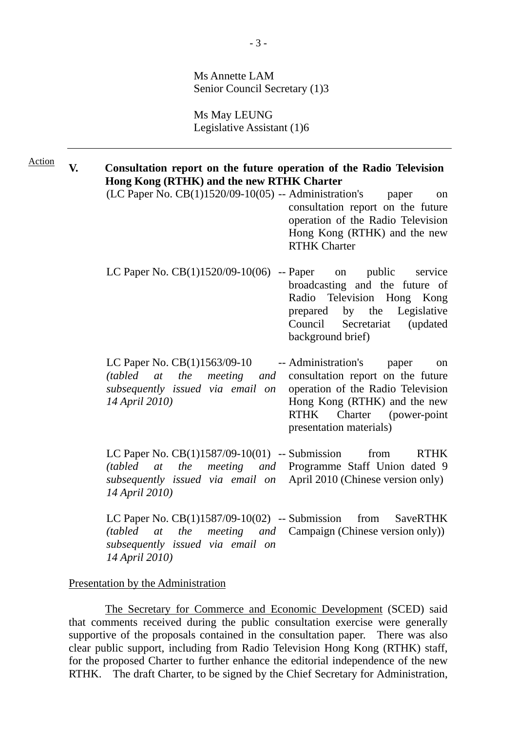Ms Annette LAM Senior Council Secretary (1)3

Ms May LEUNG Legislative Assistant (1)6

**V. Consultation report on the future operation of the Radio Television Hong Kong (RTHK) and the new RTHK Charter** Action

- $(LC$  Paper No.  $CB(1)1520/09-10(05) -$  Administration's paper on consultation report on the future operation of the Radio Television Hong Kong (RTHK) and the new RTHK Charter
- LC Paper No.  $CB(1)1520/09-10(06)$  -- Paper on public service broadcasting and the future of Radio Television Hong Kong prepared by the Legislative Council Secretariat (updated background brief)
- LC Paper No. CB(1)1563/09-10 *(tabled at the meeting and subsequently issued via email on 14 April 2010)*  -- Administration's paper on consultation report on the future operation of the Radio Television Hong Kong (RTHK) and the new RTHK Charter (power-point presentation materials)

LC Paper No. CB(1)1587/09-10(01) -- Submission from RTHK *(tabled at the meeting and subsequently issued via email on 14 April 2010)*  Programme Staff Union dated 9 April 2010 (Chinese version only)

LC Paper No. CB(1)1587/09-10(02) -- Submission from SaveRTHK *(tabled at the meeting and subsequently issued via email on 14 April 2010)*  Campaign (Chinese version only))

#### Presentation by the Administration

 The Secretary for Commerce and Economic Development (SCED) said that comments received during the public consultation exercise were generally supportive of the proposals contained in the consultation paper. There was also clear public support, including from Radio Television Hong Kong (RTHK) staff, for the proposed Charter to further enhance the editorial independence of the new RTHK. The draft Charter, to be signed by the Chief Secretary for Administration,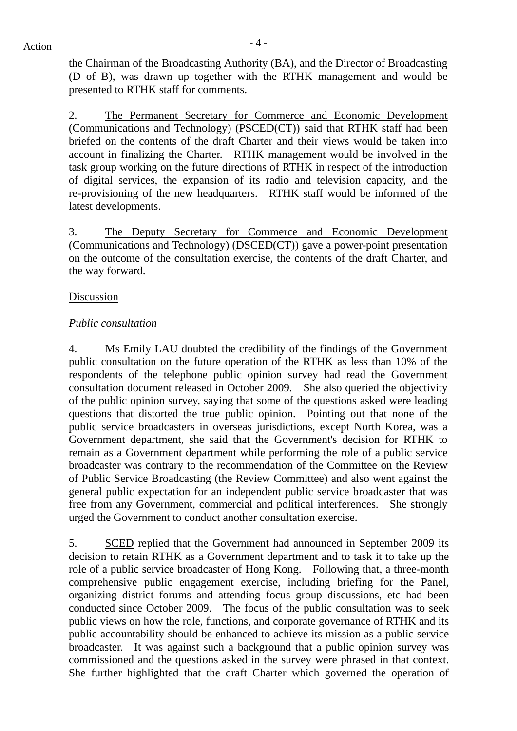$Action$ 

the Chairman of the Broadcasting Authority (BA), and the Director of Broadcasting (D of B), was drawn up together with the RTHK management and would be presented to RTHK staff for comments.

2. The Permanent Secretary for Commerce and Economic Development (Communications and Technology) (PSCED(CT)) said that RTHK staff had been briefed on the contents of the draft Charter and their views would be taken into account in finalizing the Charter. RTHK management would be involved in the task group working on the future directions of RTHK in respect of the introduction of digital services, the expansion of its radio and television capacity, and the re-provisioning of the new headquarters. RTHK staff would be informed of the latest developments.

3. The Deputy Secretary for Commerce and Economic Development (Communications and Technology) (DSCED(CT)) gave a power-point presentation on the outcome of the consultation exercise, the contents of the draft Charter, and the way forward.

## Discussion

## *Public consultation*

4. Ms Emily LAU doubted the credibility of the findings of the Government public consultation on the future operation of the RTHK as less than 10% of the respondents of the telephone public opinion survey had read the Government consultation document released in October 2009. She also queried the objectivity of the public opinion survey, saying that some of the questions asked were leading questions that distorted the true public opinion. Pointing out that none of the public service broadcasters in overseas jurisdictions, except North Korea, was a Government department, she said that the Government's decision for RTHK to remain as a Government department while performing the role of a public service broadcaster was contrary to the recommendation of the Committee on the Review of Public Service Broadcasting (the Review Committee) and also went against the general public expectation for an independent public service broadcaster that was free from any Government, commercial and political interferences. She strongly urged the Government to conduct another consultation exercise.

5. SCED replied that the Government had announced in September 2009 its decision to retain RTHK as a Government department and to task it to take up the role of a public service broadcaster of Hong Kong. Following that, a three-month comprehensive public engagement exercise, including briefing for the Panel, organizing district forums and attending focus group discussions, etc had been conducted since October 2009. The focus of the public consultation was to seek public views on how the role, functions, and corporate governance of RTHK and its public accountability should be enhanced to achieve its mission as a public service broadcaster. It was against such a background that a public opinion survey was commissioned and the questions asked in the survey were phrased in that context. She further highlighted that the draft Charter which governed the operation of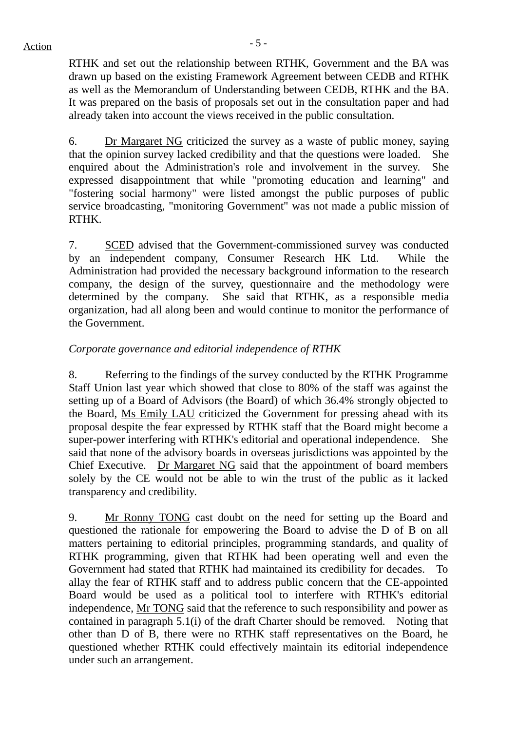$Action$ 

RTHK and set out the relationship between RTHK, Government and the BA was drawn up based on the existing Framework Agreement between CEDB and RTHK as well as the Memorandum of Understanding between CEDB, RTHK and the BA. It was prepared on the basis of proposals set out in the consultation paper and had already taken into account the views received in the public consultation.

6. Dr Margaret NG criticized the survey as a waste of public money, saying that the opinion survey lacked credibility and that the questions were loaded. She enquired about the Administration's role and involvement in the survey. She expressed disappointment that while "promoting education and learning" and "fostering social harmony" were listed amongst the public purposes of public service broadcasting, "monitoring Government" was not made a public mission of RTHK.

7. SCED advised that the Government-commissioned survey was conducted by an independent company, Consumer Research HK Ltd. While the Administration had provided the necessary background information to the research company, the design of the survey, questionnaire and the methodology were determined by the company. She said that RTHK, as a responsible media organization, had all along been and would continue to monitor the performance of the Government.

# *Corporate governance and editorial independence of RTHK*

8. Referring to the findings of the survey conducted by the RTHK Programme Staff Union last year which showed that close to 80% of the staff was against the setting up of a Board of Advisors (the Board) of which 36.4% strongly objected to the Board, Ms Emily LAU criticized the Government for pressing ahead with its proposal despite the fear expressed by RTHK staff that the Board might become a super-power interfering with RTHK's editorial and operational independence. She said that none of the advisory boards in overseas jurisdictions was appointed by the Chief Executive. Dr Margaret NG said that the appointment of board members solely by the CE would not be able to win the trust of the public as it lacked transparency and credibility.

9. Mr Ronny TONG cast doubt on the need for setting up the Board and questioned the rationale for empowering the Board to advise the D of B on all matters pertaining to editorial principles, programming standards, and quality of RTHK programming, given that RTHK had been operating well and even the Government had stated that RTHK had maintained its credibility for decades. To allay the fear of RTHK staff and to address public concern that the CE-appointed Board would be used as a political tool to interfere with RTHK's editorial independence, Mr TONG said that the reference to such responsibility and power as contained in paragraph 5.1(i) of the draft Charter should be removed. Noting that other than D of B, there were no RTHK staff representatives on the Board, he questioned whether RTHK could effectively maintain its editorial independence under such an arrangement.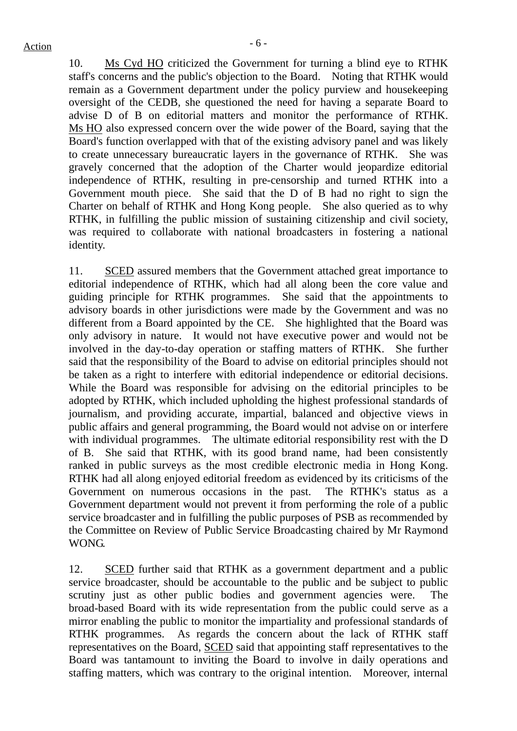10. Ms Cyd HO criticized the Government for turning a blind eye to RTHK staff's concerns and the public's objection to the Board. Noting that RTHK would remain as a Government department under the policy purview and housekeeping oversight of the CEDB, she questioned the need for having a separate Board to advise D of B on editorial matters and monitor the performance of RTHK. Ms HO also expressed concern over the wide power of the Board, saying that the Board's function overlapped with that of the existing advisory panel and was likely to create unnecessary bureaucratic layers in the governance of RTHK. She was gravely concerned that the adoption of the Charter would jeopardize editorial independence of RTHK, resulting in pre-censorship and turned RTHK into a Government mouth piece. She said that the D of B had no right to sign the Charter on behalf of RTHK and Hong Kong people. She also queried as to why RTHK, in fulfilling the public mission of sustaining citizenship and civil society, was required to collaborate with national broadcasters in fostering a national identity.

11. SCED assured members that the Government attached great importance to editorial independence of RTHK, which had all along been the core value and guiding principle for RTHK programmes. She said that the appointments to advisory boards in other jurisdictions were made by the Government and was no different from a Board appointed by the CE. She highlighted that the Board was only advisory in nature. It would not have executive power and would not be involved in the day-to-day operation or staffing matters of RTHK. She further said that the responsibility of the Board to advise on editorial principles should not be taken as a right to interfere with editorial independence or editorial decisions. While the Board was responsible for advising on the editorial principles to be adopted by RTHK, which included upholding the highest professional standards of journalism, and providing accurate, impartial, balanced and objective views in public affairs and general programming, the Board would not advise on or interfere with individual programmes. The ultimate editorial responsibility rest with the D of B. She said that RTHK, with its good brand name, had been consistently ranked in public surveys as the most credible electronic media in Hong Kong. RTHK had all along enjoyed editorial freedom as evidenced by its criticisms of the Government on numerous occasions in the past. The RTHK's status as a Government department would not prevent it from performing the role of a public service broadcaster and in fulfilling the public purposes of PSB as recommended by the Committee on Review of Public Service Broadcasting chaired by Mr Raymond WONG.

12. SCED further said that RTHK as a government department and a public service broadcaster, should be accountable to the public and be subject to public scrutiny just as other public bodies and government agencies were. The broad-based Board with its wide representation from the public could serve as a mirror enabling the public to monitor the impartiality and professional standards of RTHK programmes. As regards the concern about the lack of RTHK staff representatives on the Board, SCED said that appointing staff representatives to the Board was tantamount to inviting the Board to involve in daily operations and staffing matters, which was contrary to the original intention. Moreover, internal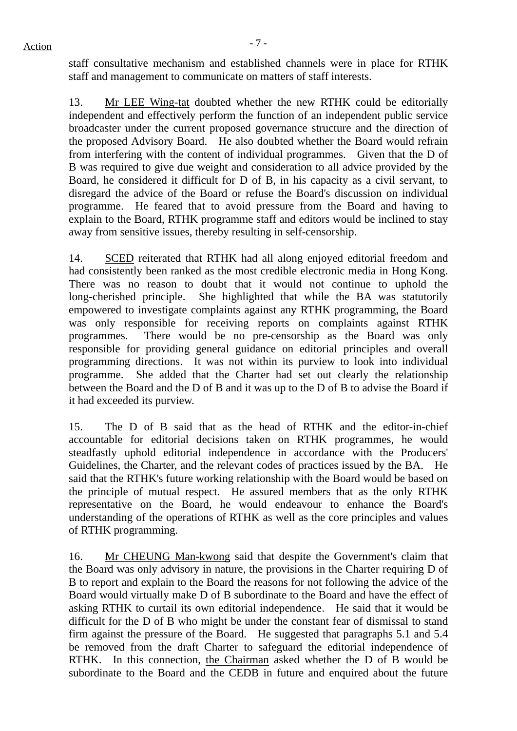staff consultative mechanism and established channels were in place for RTHK staff and management to communicate on matters of staff interests.

13. Mr LEE Wing-tat doubted whether the new RTHK could be editorially independent and effectively perform the function of an independent public service broadcaster under the current proposed governance structure and the direction of the proposed Advisory Board. He also doubted whether the Board would refrain from interfering with the content of individual programmes. Given that the D of B was required to give due weight and consideration to all advice provided by the Board, he considered it difficult for D of B, in his capacity as a civil servant, to disregard the advice of the Board or refuse the Board's discussion on individual programme. He feared that to avoid pressure from the Board and having to explain to the Board, RTHK programme staff and editors would be inclined to stay away from sensitive issues, thereby resulting in self-censorship.

14. SCED reiterated that RTHK had all along enjoyed editorial freedom and had consistently been ranked as the most credible electronic media in Hong Kong. There was no reason to doubt that it would not continue to uphold the long-cherished principle. She highlighted that while the BA was statutorily empowered to investigate complaints against any RTHK programming, the Board was only responsible for receiving reports on complaints against RTHK programmes. There would be no pre-censorship as the Board was only responsible for providing general guidance on editorial principles and overall programming directions. It was not within its purview to look into individual programme. She added that the Charter had set out clearly the relationship between the Board and the D of B and it was up to the D of B to advise the Board if it had exceeded its purview.

15. The D of B said that as the head of RTHK and the editor-in-chief accountable for editorial decisions taken on RTHK programmes, he would steadfastly uphold editorial independence in accordance with the Producers' Guidelines, the Charter, and the relevant codes of practices issued by the BA. He said that the RTHK's future working relationship with the Board would be based on the principle of mutual respect. He assured members that as the only RTHK representative on the Board, he would endeavour to enhance the Board's understanding of the operations of RTHK as well as the core principles and values of RTHK programming.

16. Mr CHEUNG Man-kwong said that despite the Government's claim that the Board was only advisory in nature, the provisions in the Charter requiring D of B to report and explain to the Board the reasons for not following the advice of the Board would virtually make D of B subordinate to the Board and have the effect of asking RTHK to curtail its own editorial independence. He said that it would be difficult for the D of B who might be under the constant fear of dismissal to stand firm against the pressure of the Board. He suggested that paragraphs 5.1 and 5.4 be removed from the draft Charter to safeguard the editorial independence of RTHK. In this connection, the Chairman asked whether the D of B would be subordinate to the Board and the CEDB in future and enquired about the future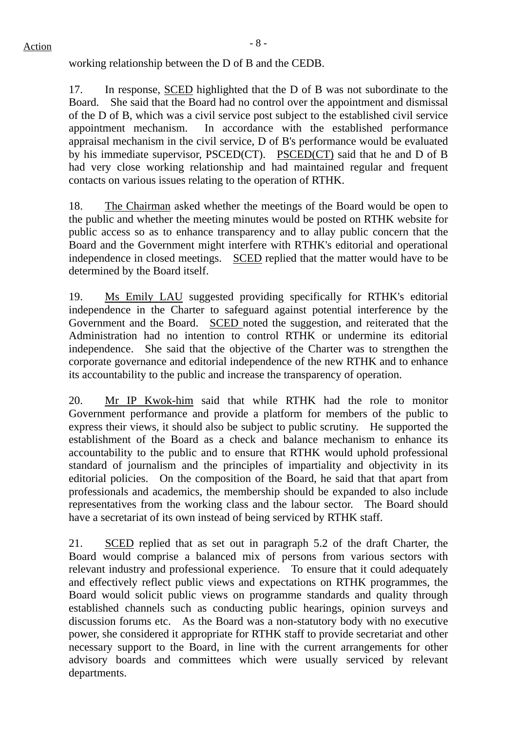working relationship between the D of B and the CEDB.

17. In response, SCED highlighted that the D of B was not subordinate to the Board. She said that the Board had no control over the appointment and dismissal of the D of B, which was a civil service post subject to the established civil service appointment mechanism. In accordance with the established performance appraisal mechanism in the civil service, D of B's performance would be evaluated by his immediate supervisor, PSCED(CT). PSCED(CT) said that he and D of B had very close working relationship and had maintained regular and frequent contacts on various issues relating to the operation of RTHK.

18. The Chairman asked whether the meetings of the Board would be open to the public and whether the meeting minutes would be posted on RTHK website for public access so as to enhance transparency and to allay public concern that the Board and the Government might interfere with RTHK's editorial and operational independence in closed meetings. SCED replied that the matter would have to be determined by the Board itself.

19. Ms Emily LAU suggested providing specifically for RTHK's editorial independence in the Charter to safeguard against potential interference by the Government and the Board. SCED noted the suggestion, and reiterated that the Administration had no intention to control RTHK or undermine its editorial independence. She said that the objective of the Charter was to strengthen the corporate governance and editorial independence of the new RTHK and to enhance its accountability to the public and increase the transparency of operation.

20. Mr IP Kwok-him said that while RTHK had the role to monitor Government performance and provide a platform for members of the public to express their views, it should also be subject to public scrutiny. He supported the establishment of the Board as a check and balance mechanism to enhance its accountability to the public and to ensure that RTHK would uphold professional standard of journalism and the principles of impartiality and objectivity in its editorial policies. On the composition of the Board, he said that that apart from professionals and academics, the membership should be expanded to also include representatives from the working class and the labour sector. The Board should have a secretariat of its own instead of being serviced by RTHK staff.

21. SCED replied that as set out in paragraph 5.2 of the draft Charter, the Board would comprise a balanced mix of persons from various sectors with relevant industry and professional experience. To ensure that it could adequately and effectively reflect public views and expectations on RTHK programmes, the Board would solicit public views on programme standards and quality through established channels such as conducting public hearings, opinion surveys and discussion forums etc. As the Board was a non-statutory body with no executive power, she considered it appropriate for RTHK staff to provide secretariat and other necessary support to the Board, in line with the current arrangements for other advisory boards and committees which were usually serviced by relevant departments.